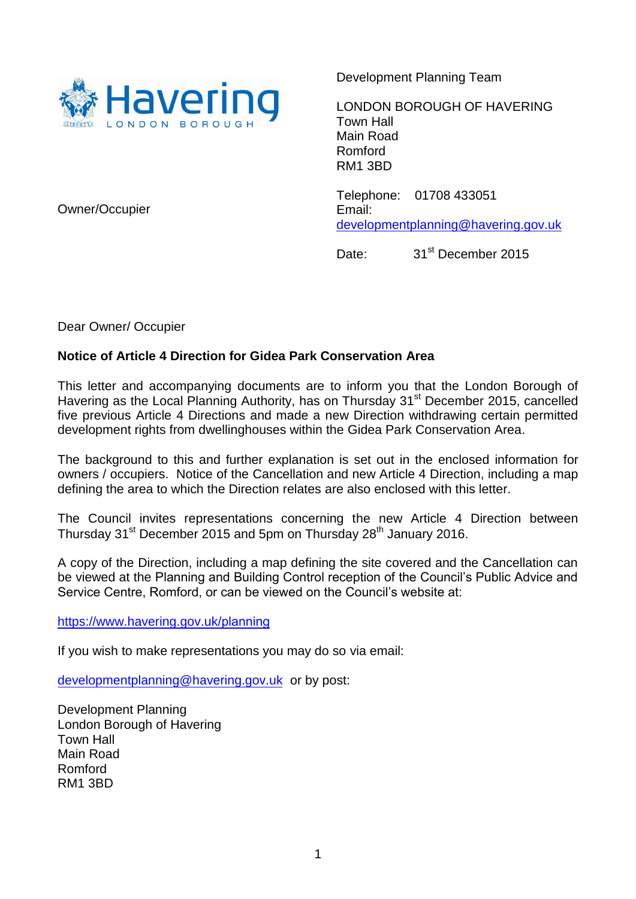

Development Planning Team

LONDON BOROUGH OF HAVERING Town Hall Main Road Romford RM1 3BD

Telephone: 01708 433051 Email: [developmentplanning@havering.gov.uk](mailto:developmentplanning@havering.gov.uk)

Date: 31<sup>st</sup> December 2015

Owner/Occupier

Dear Owner/ Occupier

## **Notice of Article 4 Direction for Gidea Park Conservation Area**

This letter and accompanying documents are to inform you that the London Borough of Havering as the Local Planning Authority, has on Thursday 31<sup>st</sup> December 2015, cancelled five previous Article 4 Directions and made a new Direction withdrawing certain permitted development rights from dwellinghouses within the Gidea Park Conservation Area.

The background to this and further explanation is set out in the enclosed information for owners / occupiers. Notice of the Cancellation and new Article 4 Direction, including a map defining the area to which the Direction relates are also enclosed with this letter.

The Council invites representations concerning the new Article 4 Direction between Thursday 31<sup>st</sup> December 2015 and 5pm on Thursday 28<sup>th</sup> January 2016.

A copy of the Direction, including a map defining the site covered and the Cancellation can be viewed at the Planning and Building Control reception of the Council's Public Advice and Service Centre, Romford, or can be viewed on the Council's website at:

[https://www.havering.gov.uk/](https://www.havering.gov.uk/planning)planning

If you wish to make representations you may do so via email:

[developmentplanning@havering.gov.uk](mailto:developmentplanning@havering.gov.uk) or by post:

Development Planning London Borough of Havering Town Hall Main Road Romford RM1 3BD